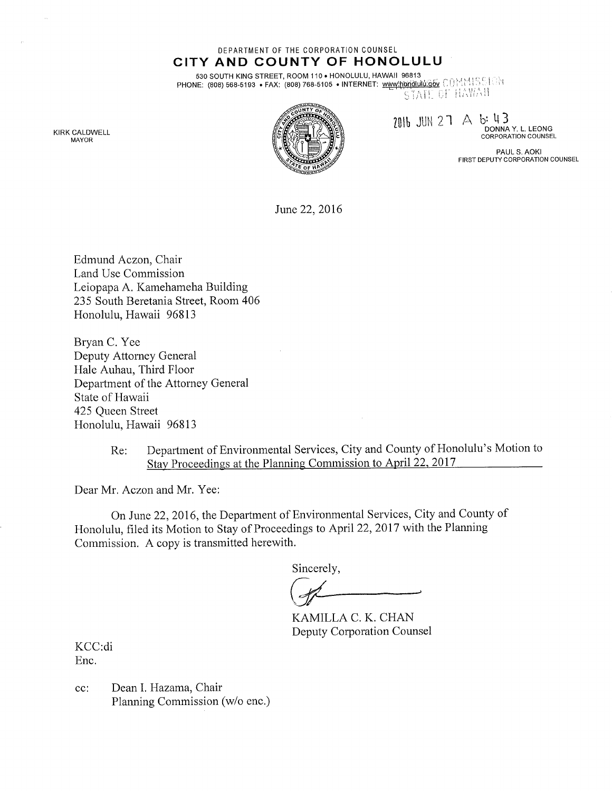DEPARTMENT OF THE CORPORATION COUNSEL

CITY AND COUNTY OF HONOLULU 530 SOUTH KING STREET, ROOM 110 . HONOLULU, HAWAII 96813

PHONE: (808) 568-5193 • FAX: (808) 768-5105 • INTERNET: www.hbfidlulu.gov COME: (808) 568-5103 • FAX: (808) 768-5105 • INTERNET: www.hbfidlulu.gov COME: CF HAWAII

 $2016$  JUN 27 A b: 43

DONNA Y. L. LEONG CORPORATION COUNSEL

PAUL S. AOKI FIRST DEPUTY CORPORATION COUNSEL

June 22,2016

Edmund Aczon, Chair Land Use Commission Leiopapa A. Kamehameha Building 235 South Beretania Street, Room 406 Honolulu, Hawaii 96813

Bryan C. Yee Deputy Attorney General Hale Auhau, Third Floor Department of the Attorney General State of Hawaii 425 Queen Street Honolulu, Hawaii 96813

> Re: Department of Environmental Services, City and County of Honolulu's Motion to Stay Proceedings at the Planning Commission to April 22, 2017

Dear Mr. Aczon and Mr. Yee:

On June 22,2016, the Department of Environmental Services, City and County of Honolulu, filed its Motion to Stay of Proceedings to April 22, 2017 with the Planning Commission. A copy is transmitted herewith.

Sincerely,

KAMILLA C. K. CHAN Deputy Corporation Counsel

KCC:di Enc.

cc: Dean I. Hazama, Chair Planning Commission (w/o enc.)

KIRK CALDWELL MAYOR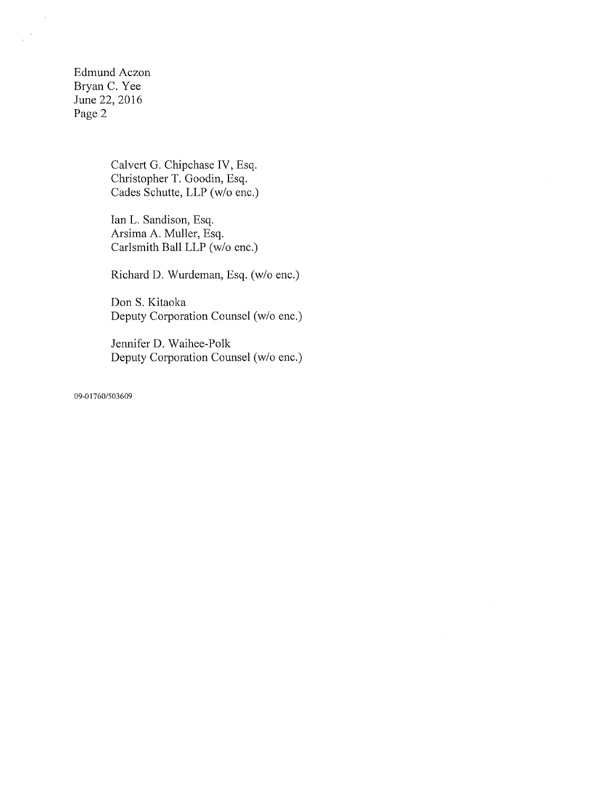Edmund Aczon Bryan C. Yee June 22, 2016 Page 2

 $\langle \cdot \rangle$ 

 $\bar{\gamma}$  $\bar{\bar{t}}$ 

> Calvert G. Chipchase IV, Esq. Christopher T. Goodin, Esq. Cades Schutte, LLP (w/o enc.)

> Ian L. Sandison, Esq. Arsima A. Muller, Esq. Carlsmith Ball LLP (w/o enc.)

Richard D. Wurdeman, Esq. (w/o enc.)

Don S. Kitaoka Deputy Corporation Counsel (w/o enc.)

Jennifer D. Waihee-Polk Deputy Corporation Counsel (w/o enc.)

09-01760/503609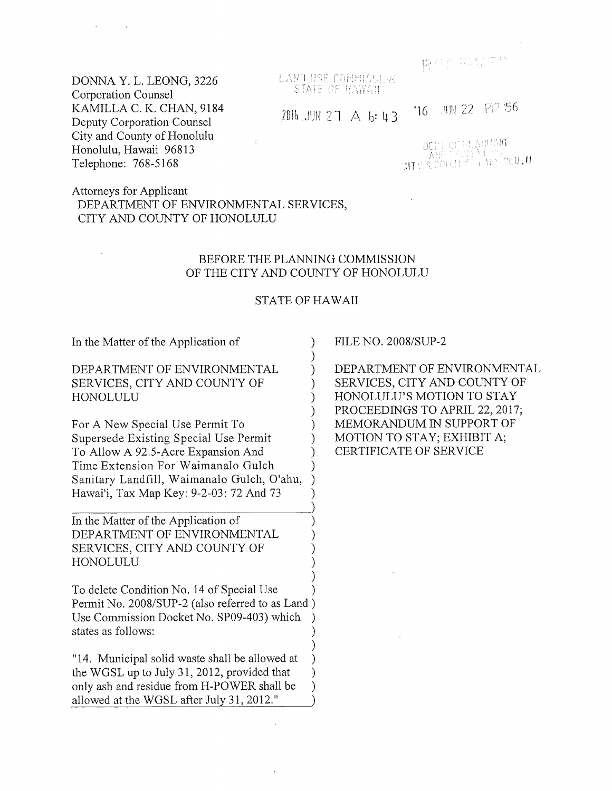LANO USE COMMISSION STATE OF HAWAII

 $2016$  JUN 27 A  $\,$  b: 43

**16** JUN 22 P12 56

DELLICI, HTVANIJAC ידי נו<del>צ</del>א<br>'ניינוס איץ **דוג**'

## DONNA Y. L. LEONG, 3226 Corporation Counsel KAMILLA C. K. CHAN, 9184 Deputy Corporation Counsel City and County of Honolulu Honolulu, Hawaii 96813 Telephone: 768-5168

### Attorneys for Applicant DEPARTMENT OF ENVIRONMENTAL SERVICES, CITY AND COUNTY OF HONOLULU

### BEFORE THE PLANNING COMMISSION OF THE CITY AND COUNTY OF HONOLULU

### STATE OF HAWAII

) ) ) ) ) ) ) ) ) ) ) ) ) ) ) ) )

> ) ) ) ) )

In the Matter of the Application of

### DEPARTMENT OF ENVIRONMENTAL SERVICES, CITY AND COUNTY OF HONOLULU

For A New Special Use Permit To Supersede Existing Special Use Permit To Allow A 92.5-Acre Expansion And Time Extension For Waimanalo Gulch Sanitary Landfill, Waimanalo Gulch, O'ahu, Hawai'i, Tax Map Key: 9-2-03:72 And 73

In the Matter of the Application of DEPARTMENT OF ENVIRONMENTAL SERVICES, CITY AND COUNTY OF HONOLULU

To delete Condition No. 14 of Special Use Permit No. 2008/SUP-2 (also referred to as Land ) Use Commission Docket No. SP09-403) which states as follows: ) ) ) )

"14. Municipal solid waste shall be allowed at the WGSL up to July 31, 2012, provided that only ash and residue from H-POWER shall be allowed at the WGSL after July 31, 2012."

FILE NO. 2008/SUP-2

DEPARTMENT OF ENVIRONMENTAL SERVICES, CITY AND COUNTY OF HONOLULU'S MOTION TO STAY PROCEEDINGS TO APRIL 22, 2017; MEMORANDUM IN SUPPORT OF MOTION TO STAY; EXHIBIT A; CERTIFICATE OF SERVICE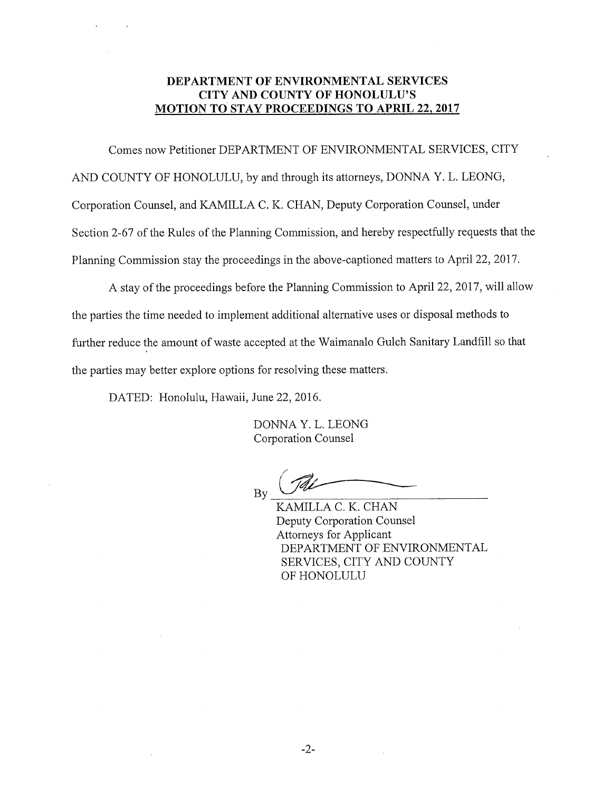### DEPARTMENT OF ENVIRONMENTAL SERVICES CITY AND COUNTY OF HONOLULU'S **MOTION TO STAY PROCEEDINGS TO APRIL 22, 2017**

Comes now Petitioner DEPARTMENT OF ENVIRONMENTAL SERVICES, CITY AND COUNTY OF HONOLULU, by and through its attorneys, DONNA Y. L. LEONG, Corporation Counsel, and KAMILLA C. K. CHAN, Deputy Corporation Counsel, under Section 2-67 of the Rules of the Planning Commission, and hereby respectfully requests that the Planning Commission stay the proceedings in the above-captioned matters to April 22, 2017.

A stay of the proceedings before the Planning Commission to April 22, 2017, will allow the parties the time needed to implement additional alternative uses or disposal methods to further reduce the amount of waste accepted at the Waimanalo Gulch Sanitary Landfill so that the parties may better explore options for resolving these matters.

DATED: Honolulu, Hawaii, June 22, 2016.

DONNA Y. L. LEONG Corporation Counsel

By

KAMILLA C. K. CHAN Deputy Corporation Counsel Attorneys for Applicant DEPARTMENT OF ENVIRONMENTAL SERVICES, CITY AND COUNTY OF HONOLULU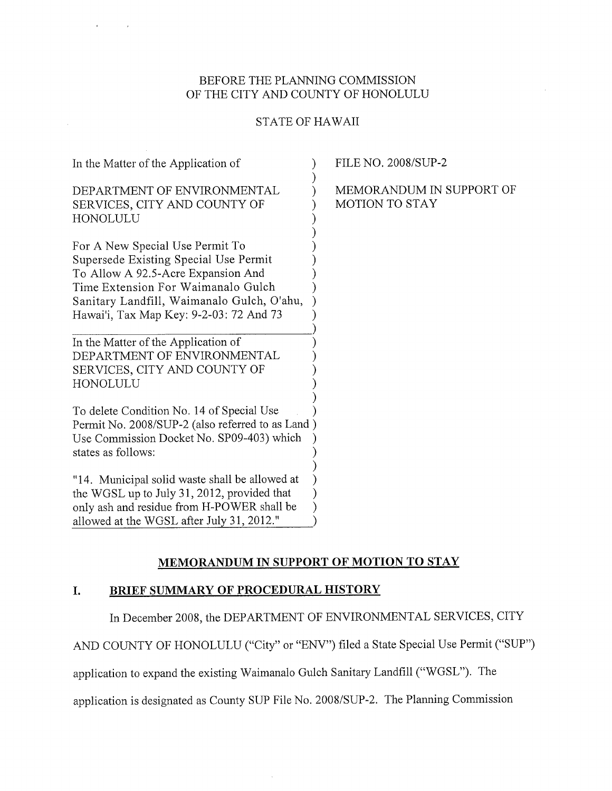### BEFORE THE PLANNING COMMISSION OF THE CITY AND COUNTY OF HONOLULU

 $\mathbf{r}$ 

 $\sim$ 

## STATE OF HAWAII

| In the Matter of the Application of                                                                                                                                                      | <b>FILE NO. 2008/SUP-2</b>                        |
|------------------------------------------------------------------------------------------------------------------------------------------------------------------------------------------|---------------------------------------------------|
| DEPARTMENT OF ENVIRONMENTAL<br>SERVICES, CITY AND COUNTY OF<br>HONOLULU                                                                                                                  | MEMORANDUM IN SUPPORT OF<br><b>MOTION TO STAY</b> |
| For A New Special Use Permit To<br>Supersede Existing Special Use Permit<br>To Allow A 92.5-Acre Expansion And                                                                           |                                                   |
| Time Extension For Waimanalo Gulch<br>Sanitary Landfill, Waimanalo Gulch, O'ahu,<br>Hawai'i, Tax Map Key: 9-2-03: 72 And 73                                                              |                                                   |
| In the Matter of the Application of<br>DEPARTMENT OF ENVIRONMENTAL<br>SERVICES, CITY AND COUNTY OF<br>HONOLULU                                                                           |                                                   |
| To delete Condition No. 14 of Special Use<br>Permit No. 2008/SUP-2 (also referred to as Land)<br>Use Commission Docket No. SP09-403) which<br>states as follows:                         |                                                   |
| "14. Municipal solid waste shall be allowed at<br>the WGSL up to July 31, 2012, provided that<br>only ash and residue from H-POWER shall be<br>allowed at the WGSL after July 31, 2012." |                                                   |

# MEMORANDUM IN SUPPORT OF MOTION TO STAY

## I. BRIEF SUMMARY OF PROCEDURAL HISTORY

In December 2008, the DEPARTMENT OF ENVIRONMENTAL SERVICES, CITY

AND COUNTY OF HONOLULU ("City" or "ENV") filed a State Special Use Permit ("SUP")

application to expand the existing Waimanalo Gulch Sanitary Landfill ("WGSL"). The

 $\sim$ 

application is designated as County SUP File No. 2008/SUP-2. The Planning Commission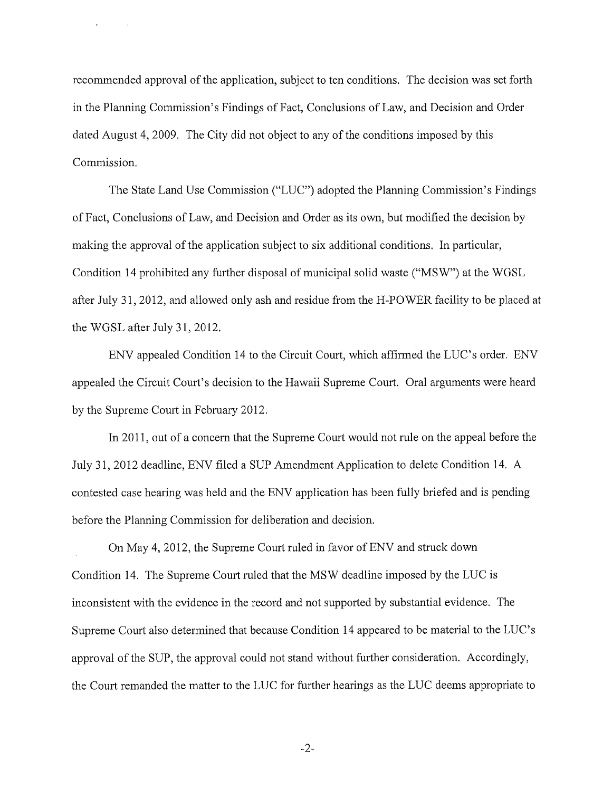recommended approval of the application, subject to ten conditions. The decision was set forth in the Planning Commission's Findings of Fact, Conclusions of Law, and Decision and Order dated August 4, 2009. The City did not object to any of the conditions imposed by this Commission.

The State Land Use Commission ("LUC") adopted the Planning Commission's Findings of Fact, Conclusions of Law, and Decision and Order as its own, but modified the decision by making the approval of the application subject to six additional conditions. In particular, Condition 14 prohibited any further disposal of municipal solid waste ("MSW") at the WGSL after July 31, 2012, and allowed only ash and residue from the H-POWER facility to be placed at the WGSL after July 31, 2012.

ENV appealed Condition 14 to the Circuit Court, which affirmed the LUC's order. ENV appealed the Circuit Court's decision to the Hawaii Supreme Court. Oral arguments were heard by the Supreme Court in February 2012.

In 2011, out of a concern that the Supreme Court would not rule on the appeal before the July 31, 2012 deadline, ENV filed a SUP Amendment Application to delete Condition 14. A contested case hearing was held and the ENV application has been fully briefed and is pending before the Planning Commission for deliberation and decision.

On May 4, 2012, the Supreme Court ruled in favor of ENV and struck down Condition 14. The Supreme Court ruled that the MSW deadline imposed by the LUC is inconsistent with the evidence in the record and not supported by substantial evidence. The Supreme Court also determined that because Condition 14 appeared to be material to the LUC's approval of the SUP, the approval could not stand without further consideration. Accordingly, the Court remanded the matter to the LUC for further hearings as the LUC deems appropriate to

-2-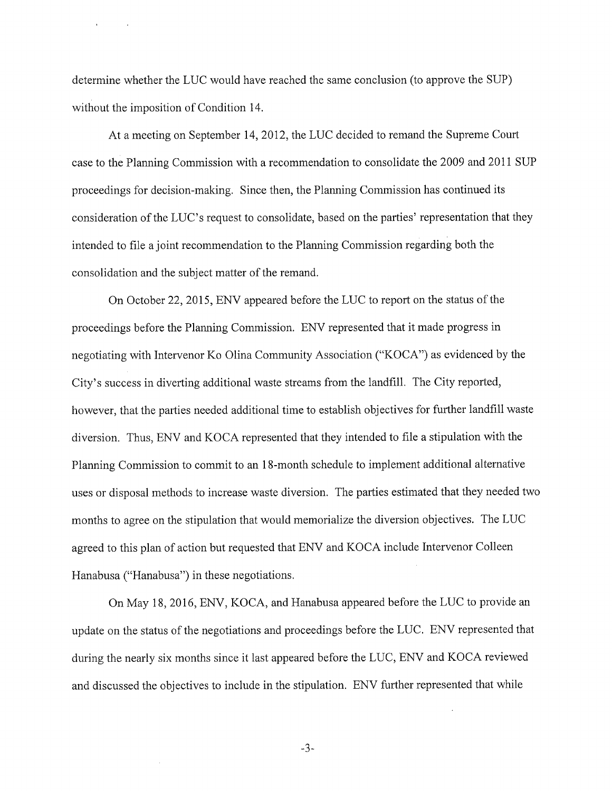determine whether the LUC would have reached the same conclusion (to approve the SUP) without the imposition of Condition 14.

At a meeting on September 14, 2012, the LUC decided to remand the Supreme Court case to the Planning Commission with a recommendation to consolidate the 2009 and 2011 SUP proceedings for decision-making. Since then, the Planning Commission has continued its consideration of the LUC's request to consolidate, based on the parties' representation that they intended to file a joint recommendation to the Planning Commission regarding both the consolidation and the subject matter of the remand.

On October 22, 2015, ENV appeared before the LUC to report on the status of the proceedings before the Planning Commission. ENV represented that it made progress in negotiating with Intervenor Ko Olina Community Association ("KOCA") as evidenced by the City's success in diverting additional waste streams from the landfill. The City reported, however, that the parties needed additional time to establish objectives for further landfill waste diversion. Thus, ENV and KOCA represented that they intended to file a stipulation with the Planning Commission to commit to an 18-month schedule to implement additional alternative uses or disposal methods to increase waste diversion. The parties estimated that they needed two months to agree on the stipulation that would memorialize the diversion objectives. The LUC agreed to this plan of action but requested that ENV and KOCA include Intervenor Colleen Hanabusa ("Hanabusa") in these negotiations.

On May 18, 2016, ENV, KOCA, and Hanabusa appeared before the LUC to provide an update on the status of the negotiations and proceedings before the LUC. ENV represented that during the nearly six months since it last appeared before the LUC, ENV and KOCA reviewed and discussed the objectives to include in the stipulation. ENV further represented that while

-3-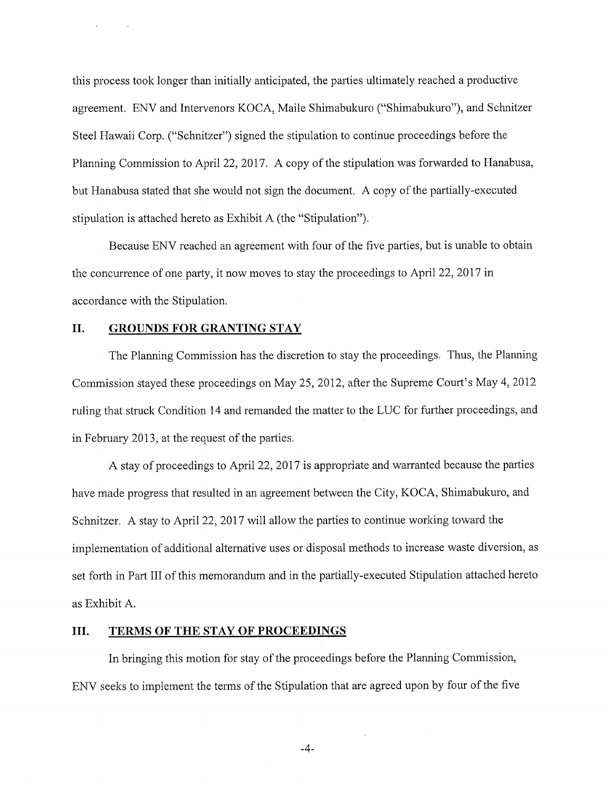this process took longer than initially anticipated, the parties ultimately reached a productive agreement. ENV and Intervenors KOCA, Maile Shimabukuro ("Shimabukuro"), and Schnitzer Steel Hawaii Corp. ("Schnitzer") signed the stipulation to continue proceedings before the Planning Commission to April 22, 2017. A copy of the stipulation was forwarded to Hanabusa, but Hanabusa stated that she would not sign the document. A copy of the partially-executed stipulation is attached hereto as Exhibit A (the "Stipulation").

Because ENV reached an agreement with four of the five parties, but is unable to obtain the concurrence of one party, it now moves to stay the proceedings to April 22, 2017 in accordance with the Stipulation.

### II. GROUNDS FOR GRANTING STAY

The Planning Commission has the discretion to stay the proceedings. Thus, the Planning Commission stayed these proceedings on May 25, 2012, after the Supreme Court's May 4, 2012 ruling that struck Condition 14 and remanded the matter to the LUC for further proceedings, and in February 2013, at the request of the parties.

A stay of proceedings to April 22, 2017 is appropriate and warranted because the parties have made progress that resulted in an agreement between the City, KOCA, Shimabukuro, and Schnitzer. A stay to April 22, 2017 will allow the parties to continue working toward the implementation of additional alternative uses or disposal methods to increase waste diversion, as set forth in Part III of this memorandum and in the partially-executed Stipulation attached hereto as Exhibit A.

### III. TERMS OF THE STAY OF PROCEEDINGS

In bringing this motion for stay of the proceedings before the Planning Commission, ENV seeks to implement the terms of the Stipulation that are agreed upon by four of the five

-4-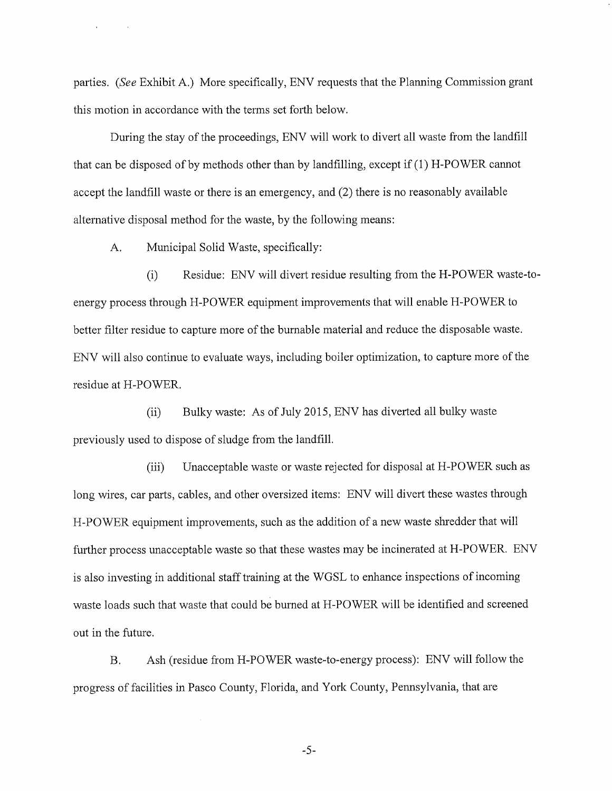parties. (See Exhibit A.) More specifically, ENV requests that the Planning Commission grant this motion in accordance with the terms set forth below.

During the stay of the proceedings, ENV will work to divert all waste from the landfill that can be disposed of by methods other than by landfilling, except if (1) H-POWER cannot accept the landfill waste or there is an emergency, and (2) there is no reasonably available alternative disposal method for the waste, by the following means:

A. Municipal Solid Waste, specifically:

(i) Residue: ENV will divert residue resulting from the H-POWER waste-toenergy process through H-POWER equipment improvements that will enable H-POWER to better filter residue to capture more of the burnable material and reduce the disposable waste. ENV will also continue to evaluate ways, including boiler optimization, to capture more of the residue at H-POWER.

(ii) Bulky waste: As of July 2015, ENV has diverted all bulky waste previously used to dispose of sludge from the landfill.

(iii) Unacceptable waste or waste rejected for disposal at H-POWER such as long wires, car parts, cables, and other oversized items: ENV will divert these wastes through H-POWER equipment improvements, such as the addition of a new waste shredder that will further process unacceptable waste so that these wastes may be incinerated at H-POWER. ENV is also investing in additional staff training at the WGSL to enhance inspections of incoming waste loads such that waste that could be burned at H-POWER will be identified and screened out in the future.

B. Ash (residue from H-POWER waste-to-energy process): ENV will follow the progress of facilities in Pasco County, Florida, and York County, Pennsylvania, that are

-5-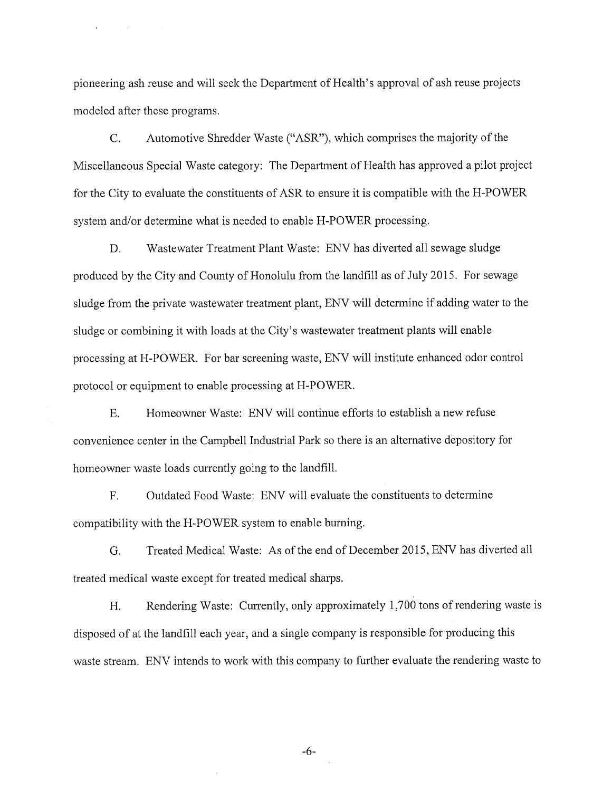pioneering ash reuse and will seek the Department of Health's approval of ash reuse projects modeled after these programs.

C. Automotive Shredder Waste ("ASR"), which comprises the majority of the Miscellaneous Special Waste category: The Department of Health has approved a pilot project for the City to evaluate the constituents of ASR to ensure it is compatible with the H-POWER system and/or determine what is needed to enable H-POWER processing.

D. Wastewater Treatment Plant Waste: ENV has diverted all sewage sludge produced by the City and County of Honolulu from the landfill as of July 2015. For sewage sludge from the private wastewater treatment plant, ENV will determine if adding water to the sludge or combining it with loads at the City's wastewater treatment plants will enable processing at H-POWER. For bar screening waste, ENV will institute enhanced odor control protocol or equipment to enable processing at H-POWER.

E. Homeowner Waste: ENV will continue efforts to establish a new refuse convenience center in the Campbell Industrial Park so there is an alternative depository for homeowner waste loads currently going to the landfill.

F. Outdated Food Waste: ENV will evaluate the constituents to determine compatibility with the H-POWER system to enable burning.

G. Treated Medical Waste: As of the end of December 2015, ENV has diverted all treated medical waste except for treated medical sharps.

H. Rendering Waste: Currently, only approximately 1,700 tons of rendering waste is disposed of at the landfill each year, and a single company is responsible for producing this waste stream. ENV intends to work with this company to further evaluate the rendering waste to

-6-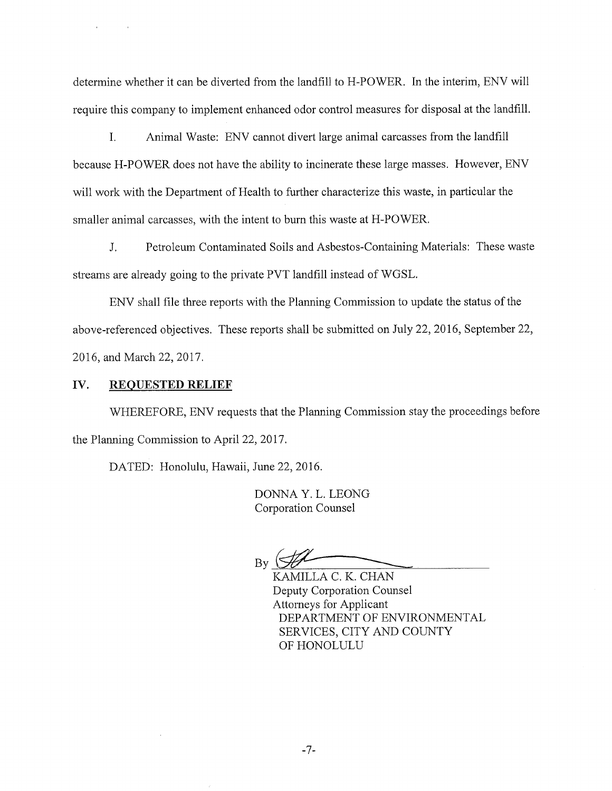determine whether it can be diverted from the landfill to H-POWER. In the interim, ENV will require this company to implement enhanced odor control measures for disposal at the landfill.

I. Animal Waste: ENV cannot divert large animal carcasses from the landfill because H-POWER does not have the ability to incinerate these large masses. However, ENV will work with the Department of Health to further characterize this waste, in particular the smaller animal carcasses, with the intent to burn this waste at H-POWER.

J. Petroleum Contaminated Soils and Asbestos-Containing Materials: These waste streams are already going to the private PVT landfill instead of WGSL.

above-referenced objectives. These reports shall be submitted on July 22, 2016, September 22, 2016, and March 22, 2017. ENV shall file three reports with the Planning Commission to update the status of the

#### IV. REQUESTED RELIEF

WHEREFORE, ENV requests that the Planning Commission stay the proceedings before the Planning Commission to April 22, 2017.

DATED: Honolulu, Hawaii, June 22, 2016.

DONNA Y. L. LEONG Corporation Counsel

By  $\left\langle \mathcal{H}\right\rangle$ 

KAMILLA C. K. CHAN Deputy Corporation Counsel Attorneys for Applicant DEPARTMENT OF ENVIRONMENTAL SERVICES, CITY AND COUNTY OF HONOLULU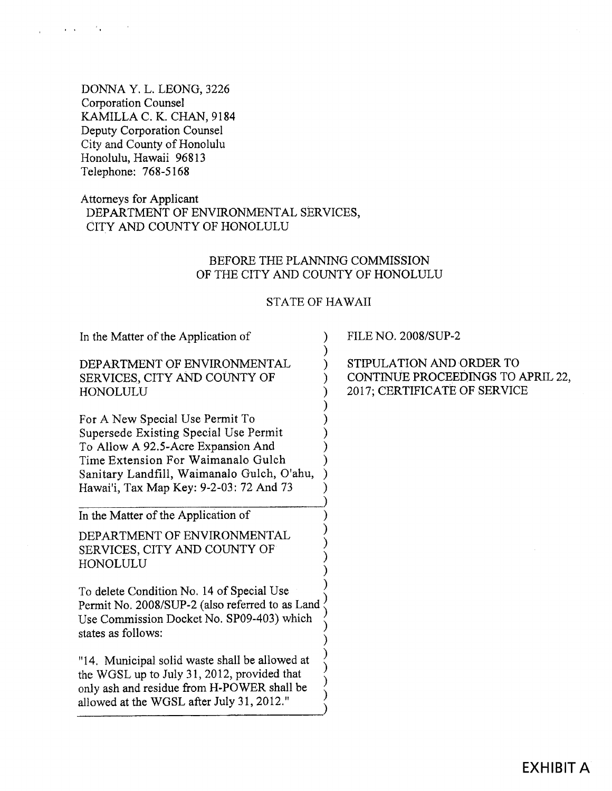DONNA Y. L. LEONG, 3226 Corporation Counsel KAMILLA C. K. CHAN, 9184 Deputy Corporation Counsel City and County of Honolulu Honolulu, Hawaii 96813 Telephone: 768-5168

## Attorneys for Applicant DEPARTMENT OF ENVIRONMENTAL SERVICES, CITY AND COUNTY OF HONOLULU

## BEFORE THE PLANNING COMMISSION OF THE CITY AND COUNTY OF HONOLULU

### STATE OF HAWAII

In the Matter of the Application of DEPARTMENT OF ENVIRONMENTAL SERVICES, CITY AND COUNTY OF HONOLULU For A New Special Use Permit To Supersede Existing Special Use Permit To Allow A 92.5-Acre Expansion And Time Extension For Waimanalo Gulch Sanitary Landfill, Waimanalo Gulch, O'ahu, Hawai'i, Tax Map Key: 9-2-03:72 And 73 In the Matter of the Application of DEPARTMENT OF ENVIRONMENTAL SERVICES, CITY AND COUNTY OF HONOLULU To delete Condition No. 14 of Special Use Permit No. 2008/SUP-2 (also referred to as Land Use Commission Docket No. 8P09-403) which states as follows: "14, Municipal solid waste shall be allowed at the WGSL up to July 31, 2012, provided that only ash and residue from H-POWER shall be allowed at the WGSL after July 31, 2012." ) ) ) ) ) ) ) ) ) ) ) )  $\acute{\text{)}}$ ) ) )  $\frac{1}{2}$ ) ) ) ) .<br>) ) ) ) ) .<br>(  $\big)$ 

FILE NO. 2008/SUP-2

STIPULATION AND ORDER TO CONTINUE PROCEEDINGS TO APRIL 22, 2017; CERTIFICATE OF SERVICE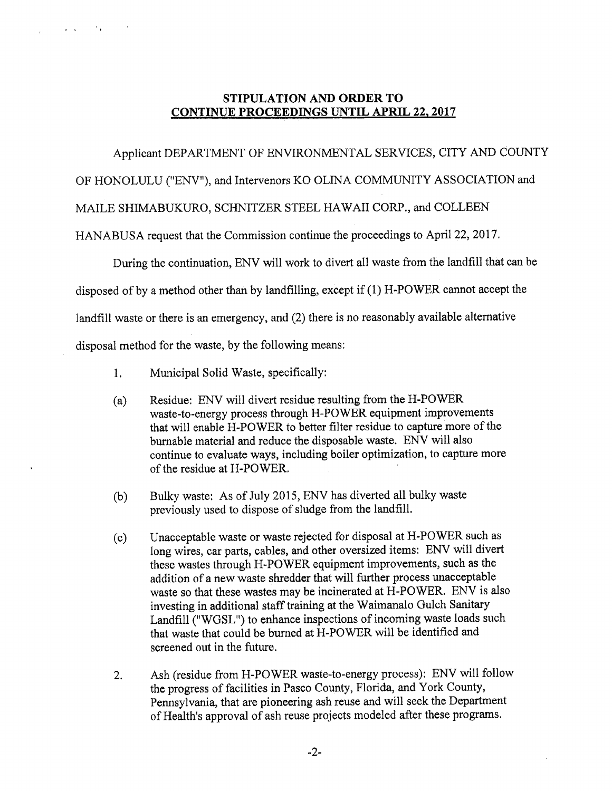## STIPULATION AND ORDER TO CONTINUE PROCEEDINGS UNTIL APRIL 22, 2017

### Applicant DEPARTMENT OF ENVIRONMENTAL SERVICES, CITY AND COUNTY

OF HONOLULU ("ENV"), and Intervenors KO OLINA COMMUNITY ASSOCIATION and

MAILE SHIMABUKURO, SCHNITZER STEEL HAWAII CORP., and COLLEEN

HANABUSA request that the Commission continue the proceedings to April 22, 2017.

During the continuation, ENV will work to divert all waste from the landfill that can be disposed of by a method other than by landfilling, except if (1) H-POWER cannot accept the landfill waste or there is an emergency, and (2) there is no reasonably available alternative

disposal method for the waste, by the following means:

 $\sim 10^{-1}$  km  $^{-1}$  ,  $\sim 10^{-1}$  km

- 1. Municipal Solid Waste, specifically:
- (a) Residue: ENV will divert residue resulting from the H-POWER waste-to-energy process through H-POWER equipment improvements that will enable H-POWER to better filter residue to capture more of the burnable material and reduce the disposable waste. ENV will also continue to evaluate ways, including boiler optimization, to capture more of the residue at H-POWER.
- (b) Bulky waste: As of July 2015, ENV has diverted all bulky waste previously used to dispose of sludge from the landfill.
- (c) Unacceptable waste or waste rejected for disposal at H-POWER such as long wires, car parts, cables, and other oversized items: ENV will divert these wastes through H-POWER equipment improvements, such as the addition of a new waste shredder that will further process unacceptable waste so that these wastes may be incinerated at H-POWER. ENV is also investing in additional staff training at the Waimanalo Gulch Sanitary Landfill ("WGSL") to enhance inspections of incoming waste loads such that waste that could be burned at H-POWER will be identified and screened out in the future.
- , Ash (residue from H-POWER waste-to-energy process): ENV will follow the progress of facilities in Pasco County, Florida, and York County, Pennsylvania, that are pioneering ash reuse and will seek the Department of Health's approval of ash reuse projects modeled after these programs,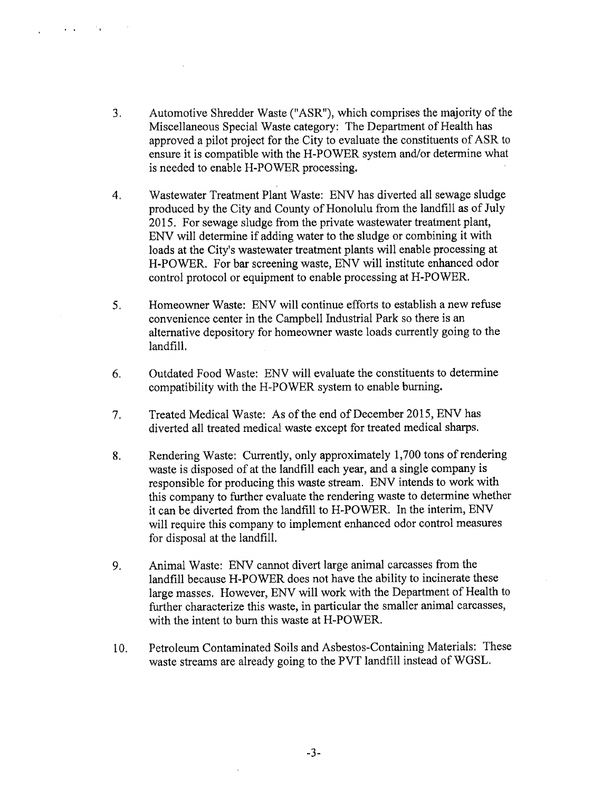. Automotive Shredder Waste ("ASR"), which comprises the majority of the Miscellaneous Special Waste category: The Department of Health has approved a pilot project for the City to evaluate the constituents of ASR to ensure it is compatible with the H-POWER system and/or determine what is needed to enable H-POWER processing.

 $\sim 10^{-12}$  km  $^{-1}$  M  $_{\odot}$ 

- , Wastewater Treatment Plant Waste: ENV has diverted all sewage sludge produced by the City and County of Honolulu from the landfill as of July 2015. For sewage sludge from the private wastewater treatment plant, ENV will determine if adding water to the sludge or combining it with loads at the City's wastewater treatment plants will enable processing at H-POWER. For bar screening waste, ENV will institute enhanced odor control protocol or equipment to enable processing at H-POWER.
- $5<sub>1</sub>$ Homeowner Waste: ENV will continue efforts to establish a new refuse convenience center in the Campbell Industrial Park so there is an alternative depository for homeowner waste loads currently going to the landfill.
- 6. Outdated Food Waste: ENV will evaluate the constituents to determine compatibility with the H-POWER system to enable burning.
- , Treated Medical Waste: As of the end of December 2015, ENV has diverted all treated medical waste except for treated medical sharps.
- 8. Rendering Waste: Currently, only approximately 1,700 tons of rendering waste is disposed of at the landfill each year, and a single company is responsible for producing this waste stream. ENV intends to work with this company to further evaluate the rendering waste to determine whether it can be diverted from the landfill to H-POWER. In the interim, ENV will require this company to implement enhanced odor control measures for disposal at the landfill.
- 9. Animal Waste: ENV cannot divert large animal carcasses from the landfill because H-POWER does not have the ability to incinerate these large masses. However, ENV will work with the Department of Health to further characterize this waste, in particular the smaller animal carcasses, with the intent to bum this waste at H-POWER.
- 10. Petroleum Contaminated Soils and Asbestos-Containing Materials: These waste streams are already going to the PVT landfill instead of WGSL.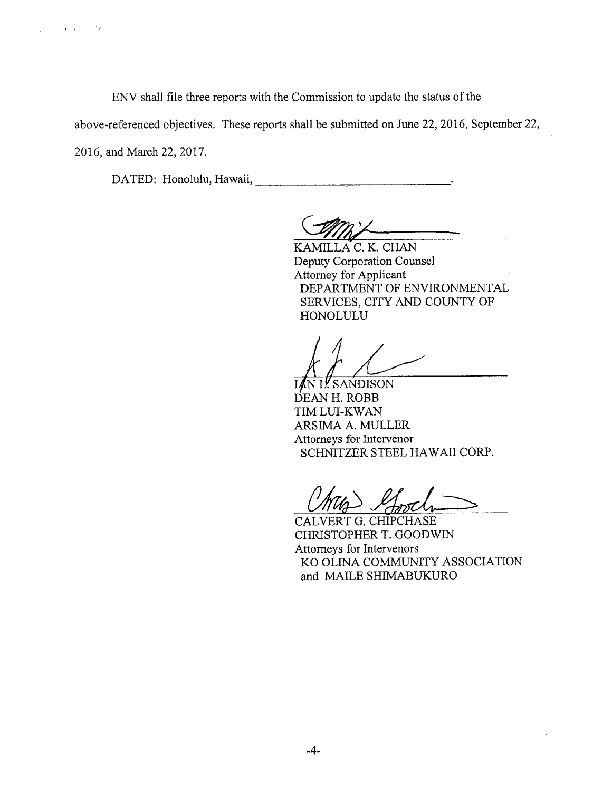$\mathbf{v} = \mathbf{v}$  ,  $\mathbf{v} = \mathbf{v}$  ,  $\mathbf{v} = \mathbf{v}$ 

ENV shall file three reports with the Commission to update the status of the

above-referenced objectives. These reports shall be submitted on June 22, 2016, September 22,

2016, and March 22, 2017.

DATED: Honolulu, Hawaii, Chambridge Communication of the UATED: Honolulu, Hawaii,

KAMILLA C. K. CHAN Deputy Corporation Counsel Attorney for Applicant DEPARTMENT OF ENVIRONMENTAL SERVICES, CITY AND COUNTY OF HONOLULU

N L! SANDISON DEAN H. ROBB TIM LUI-KWAN ARSIMA A. MULLER Attomeys for Intervenor SCHNITZER STEEL HAWAII CORP.

CALVERT G. CHIPCHASE CHRISTOPHER T. GOODWIN Attorneys for Intervenors KO OLINA COMMUNITY ASSOCIATION and MAILE SHIMABUKURO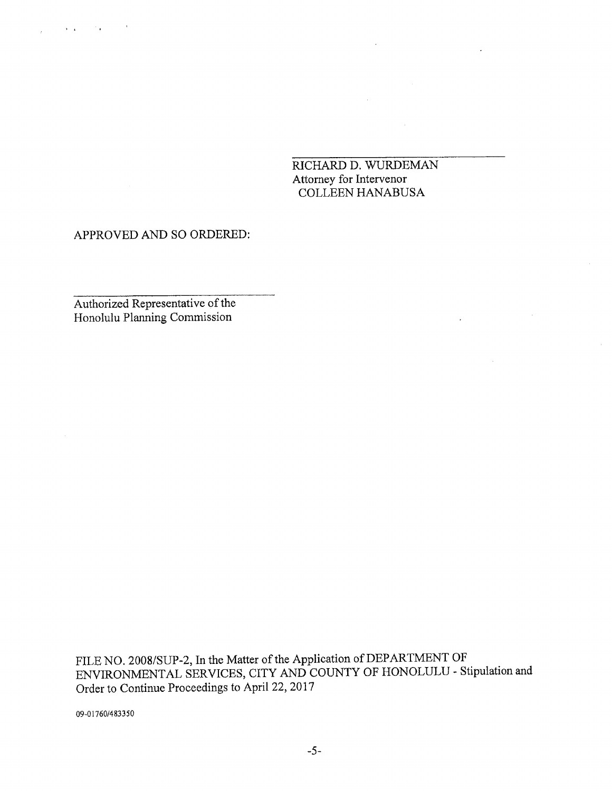RICHARD D. WURDEMAN Attorney for Intervenor COLLEEN HANABUSA

 $\Delta \sim 10^{11}$  m  $^{-1}$ 

 $\mathcal{L}^{\text{max}}_{\text{max}}$ 

### APPROVED AND SO ORDERED:

Authorized Representative of the Honolulu Planning Commission

FILE NO. 2008/SUP-2, In the Matter of the Application of DEPARTMENT OF ENVIRONMENTAL SERVICES, CITY AND COUNTY OF HONOLULU - Stipulation and Order to Continue Proceedings to April 22, 2017

09-01760/483350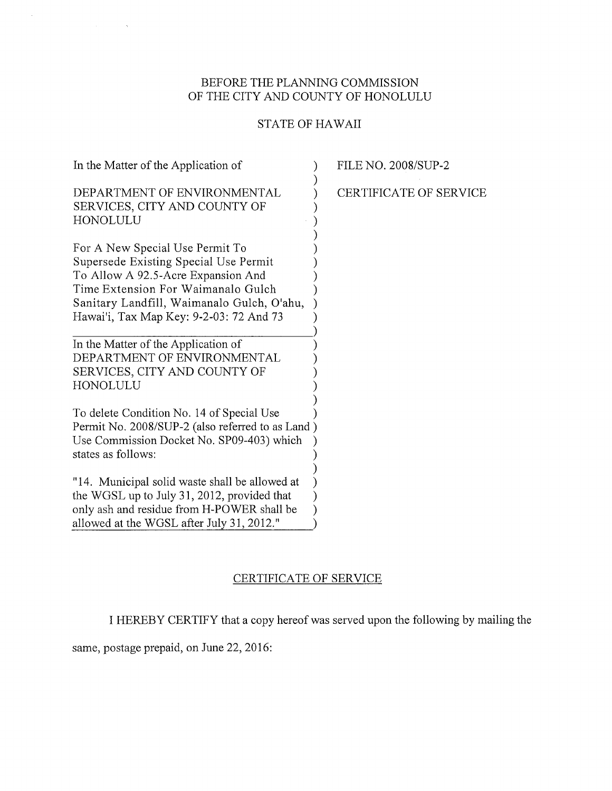## BEFORE THE PLANNING COMMISSION OF THE CITY AND COUNTY OF HONOLULU

# STATE OF HAWAII

| In the Matter of the Application of                                                                                                                                                                                                           | <b>FILE NO. 2008/SUP-2</b>    |
|-----------------------------------------------------------------------------------------------------------------------------------------------------------------------------------------------------------------------------------------------|-------------------------------|
| DEPARTMENT OF ENVIRONMENTAL<br>SERVICES, CITY AND COUNTY OF<br>HONOLULU                                                                                                                                                                       | <b>CERTIFICATE OF SERVICE</b> |
| For A New Special Use Permit To<br>Supersede Existing Special Use Permit<br>To Allow A 92.5-Acre Expansion And<br>Time Extension For Waimanalo Gulch<br>Sanitary Landfill, Waimanalo Gulch, O'ahu,<br>Hawai'i, Tax Map Key: 9-2-03: 72 And 73 |                               |
| In the Matter of the Application of<br>DEPARTMENT OF ENVIRONMENTAL<br>SERVICES, CITY AND COUNTY OF<br>HONOLULU                                                                                                                                |                               |
| To delete Condition No. 14 of Special Use<br>Permit No. 2008/SUP-2 (also referred to as Land)<br>Use Commission Docket No. SP09-403) which<br>states as follows:                                                                              |                               |
| "14. Municipal solid waste shall be allowed at<br>the WGSL up to July 31, 2012, provided that<br>only ash and residue from H-POWER shall be<br>allowed at the WGSL after July 31, 2012."                                                      |                               |

## CERTIFICATE OF SERVICE

I HEREBY CERTIFY that a copy hereof was served upon the following by mailing the

same, postage prepaid, on June 22, 2016:

 $\sim$ 

 $\Delta$